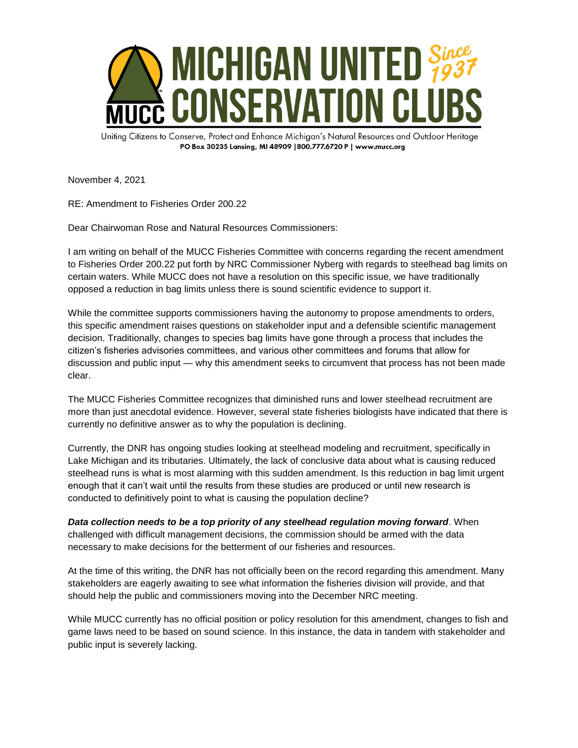

Uniting Citizens to Conserve, Protect and Enhance Michigan's Natural Resources and Outdoor Heritage PO Box 30235 Lansing, MI 48909 | 800.777.6720 P | www.mucc.org

November 4, 2021

RE: Amendment to Fisheries Order 200.22

Dear Chairwoman Rose and Natural Resources Commissioners:

I am writing on behalf of the MUCC Fisheries Committee with concerns regarding the recent amendment to Fisheries Order 200.22 put forth by NRC Commissioner Nyberg with regards to steelhead bag limits on certain waters. While MUCC does not have a resolution on this specific issue, we have traditionally opposed a reduction in bag limits unless there is sound scientific evidence to support it.

While the committee supports commissioners having the autonomy to propose amendments to orders, this specific amendment raises questions on stakeholder input and a defensible scientific management decision. Traditionally, changes to species bag limits have gone through a process that includes the citizen's fisheries advisories committees, and various other committees and forums that allow for discussion and public input — why this amendment seeks to circumvent that process has not been made clear.

The MUCC Fisheries Committee recognizes that diminished runs and lower steelhead recruitment are more than just anecdotal evidence. However, several state fisheries biologists have indicated that there is currently no definitive answer as to why the population is declining.

Currently, the DNR has ongoing studies looking at steelhead modeling and recruitment, specifically in Lake Michigan and its tributaries. Ultimately, the lack of conclusive data about what is causing reduced steelhead runs is what is most alarming with this sudden amendment. Is this reduction in bag limit urgent enough that it can't wait until the results from these studies are produced or until new research is conducted to definitively point to what is causing the population decline?

*Data collection needs to be a top priority of any steelhead regulation moving forward*. When challenged with difficult management decisions, the commission should be armed with the data necessary to make decisions for the betterment of our fisheries and resources.

At the time of this writing, the DNR has not officially been on the record regarding this amendment. Many stakeholders are eagerly awaiting to see what information the fisheries division will provide, and that should help the public and commissioners moving into the December NRC meeting.

While MUCC currently has no official position or policy resolution for this amendment, changes to fish and game laws need to be based on sound science. In this instance, the data in tandem with stakeholder and public input is severely lacking.